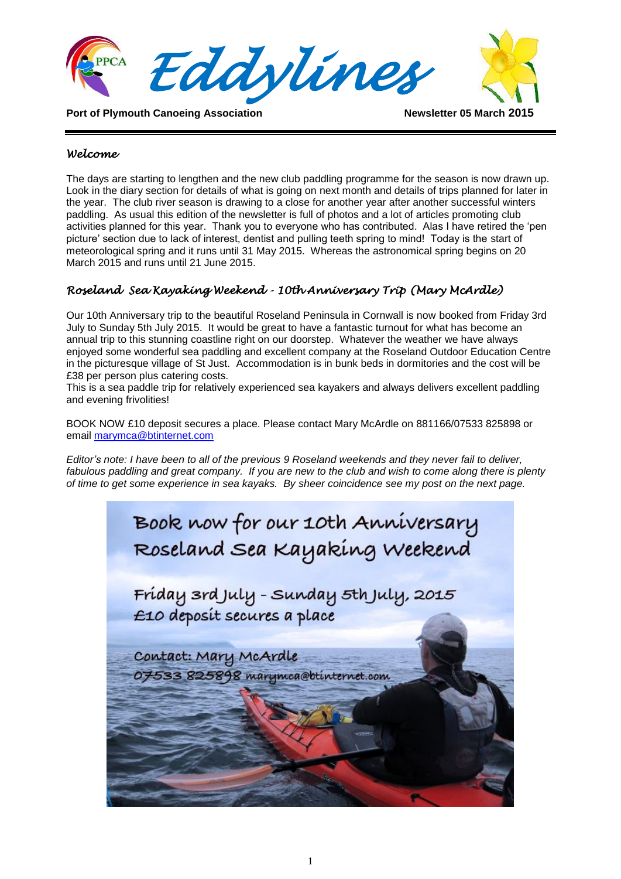

#### *Welcome*

The days are starting to lengthen and the new club paddling programme for the season is now drawn up. Look in the diary section for details of what is going on next month and details of trips planned for later in the year. The club river season is drawing to a close for another year after another successful winters paddling. As usual this edition of the newsletter is full of photos and a lot of articles promoting club activities planned for this year. Thank you to everyone who has contributed. Alas I have retired the 'pen picture' section due to lack of interest, dentist and pulling teeth spring to mind! Today is the start of meteorological spring and it runs until 31 May 2015. Whereas the astronomical spring begins on 20 March 2015 and runs until 21 June 2015.

### *Roseland Sea Kayaking Weekend - 10th Anniversary Trip (Mary McArdle)*

Our 10th Anniversary trip to the beautiful Roseland Peninsula in Cornwall is now booked from Friday 3rd July to Sunday 5th July 2015. It would be great to have a fantastic turnout for what has become an annual trip to this stunning coastline right on our doorstep. Whatever the weather we have always enjoyed some wonderful sea paddling and excellent company at the Roseland Outdoor Education Centre in the picturesque village of St Just. Accommodation is in bunk beds in dormitories and the cost will be £38 per person plus catering costs.

This is a sea paddle trip for relatively experienced sea kayakers and always delivers excellent paddling and evening frivolities!

BOOK NOW £10 deposit secures a place. Please contact Mary McArdle on 881166/07533 825898 or email [marymca@btinternet.com](mailto:marymca@btinternet.com)

*Editor's note: I have been to all of the previous 9 Roseland weekends and they never fail to deliver,*  fabulous paddling and great company. If you are new to the club and wish to come along there is plenty *of time to get some experience in sea kayaks. By sheer coincidence see my post on the next page.*

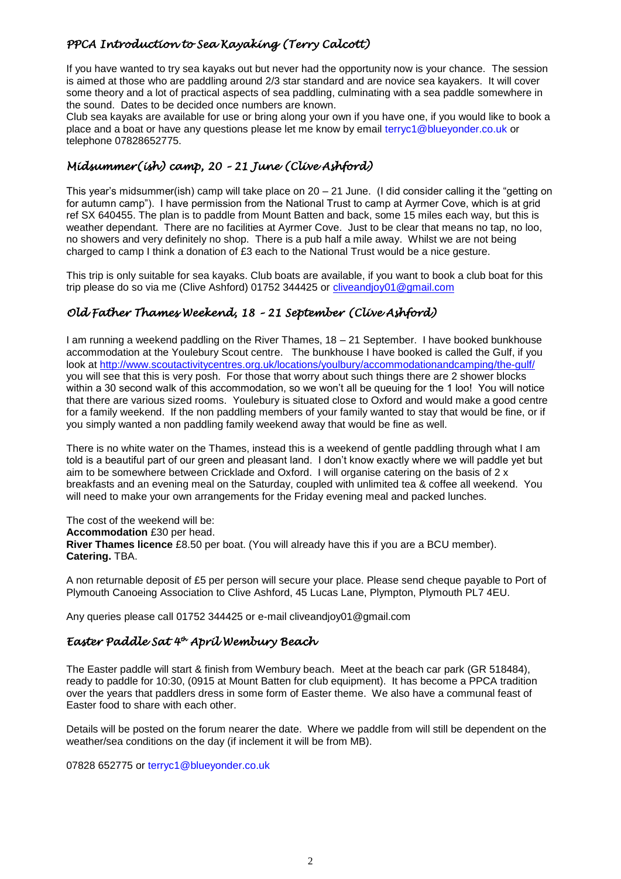### *PPCA Introduction to Sea Kayaking (Terry Calcott)*

If you have wanted to try sea kayaks out but never had the opportunity now is your chance. The session is aimed at those who are paddling around 2/3 star standard and are novice sea kayakers. It will cover some theory and a lot of practical aspects of sea paddling, culminating with a sea paddle somewhere in the sound. Dates to be decided once numbers are known.

Club sea kayaks are available for use or bring along your own if you have one, if you would like to book a place and a boat or have any questions please let me know by email terryc1@blueyonder.co.uk or telephone 07828652775.

# *Midsummer(ish) camp, 20 – 21 June (Clive Ashford)*

This year's midsummer(ish) camp will take place on 20 – 21 June. (I did consider calling it the "getting on for autumn camp"). I have permission from the National Trust to camp at Ayrmer Cove, which is at grid ref SX 640455. The plan is to paddle from Mount Batten and back, some 15 miles each way, but this is weather dependant. There are no facilities at Ayrmer Cove. Just to be clear that means no tap, no loo, no showers and very definitely no shop. There is a pub half a mile away. Whilst we are not being charged to camp I think a donation of £3 each to the National Trust would be a nice gesture.

This trip is only suitable for sea kayaks. Club boats are available, if you want to book a club boat for this trip please do so via me (Clive Ashford) 01752 344425 or [cliveandjoy01@gmail.com](mailto:cliveandjoy01@gmail.com)

# *Old Father Thames Weekend, 18 – 21 September (Clive Ashford)*

I am running a weekend paddling on the River Thames, 18 – 21 September. I have booked bunkhouse accommodation at the Youlebury Scout centre. The bunkhouse I have booked is called the Gulf, if you look at<http://www.scoutactivitycentres.org.uk/locations/youlbury/accommodationandcamping/the-gulf/> you will see that this is very posh. For those that worry about such things there are 2 shower blocks within a 30 second walk of this accommodation, so we won't all be queuing for the 1 loo! You will notice that there are various sized rooms. Youlebury is situated close to Oxford and would make a good centre for a family weekend. If the non paddling members of your family wanted to stay that would be fine, or if you simply wanted a non paddling family weekend away that would be fine as well.

There is no white water on the Thames, instead this is a weekend of gentle paddling through what I am told is a beautiful part of our green and pleasant land. I don't know exactly where we will paddle yet but aim to be somewhere between Cricklade and Oxford. I will organise catering on the basis of 2 x breakfasts and an evening meal on the Saturday, coupled with unlimited tea & coffee all weekend. You will need to make your own arrangements for the Friday evening meal and packed lunches.

The cost of the weekend will be: **Accommodation** £30 per head. **River Thames licence** £8.50 per boat. (You will already have this if you are a BCU member). **Catering.** TBA.

A non returnable deposit of £5 per person will secure your place. Please send cheque payable to Port of Plymouth Canoeing Association to Clive Ashford, 45 Lucas Lane, Plympton, Plymouth PL7 4EU.

Any queries please call 01752 344425 or e-mail cliveandjoy01@gmail.com

#### *Easter Paddle Sat 4th April Wembury Beach*

The Easter paddle will start & finish from Wembury beach. Meet at the beach car park (GR 518484), ready to paddle for 10:30, (0915 at Mount Batten for club equipment). It has become a PPCA tradition over the years that paddlers dress in some form of Easter theme. We also have a communal feast of Easter food to share with each other.

Details will be posted on the forum nearer the date. Where we paddle from will still be dependent on the weather/sea conditions on the day (if inclement it will be from MB).

07828 652775 or terryc1@blueyonder.co.uk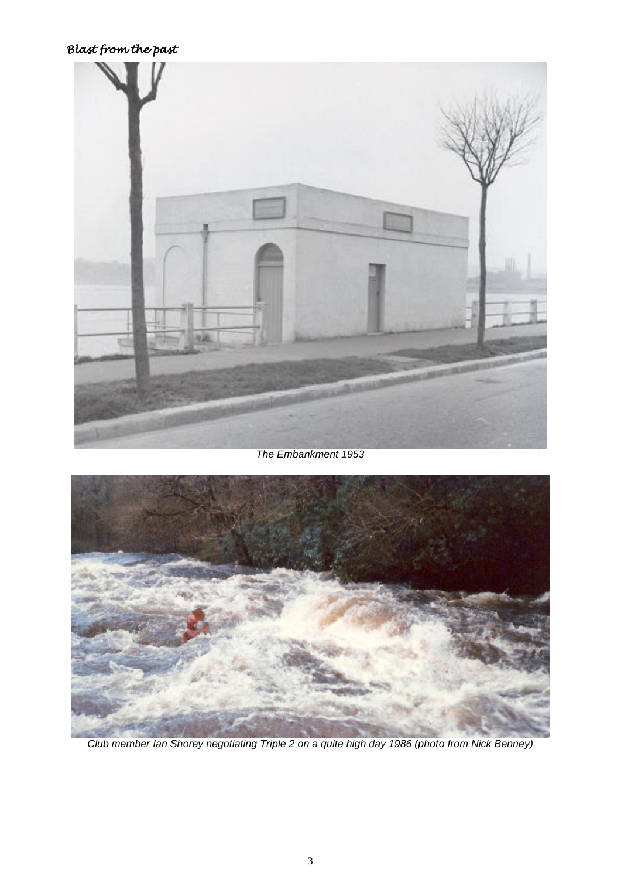# *Blast from the past*



### *The Embankment 1953*



*Club member Ian Shorey negotiating Triple 2 on a quite high day 1986 (photo from Nick Benney)*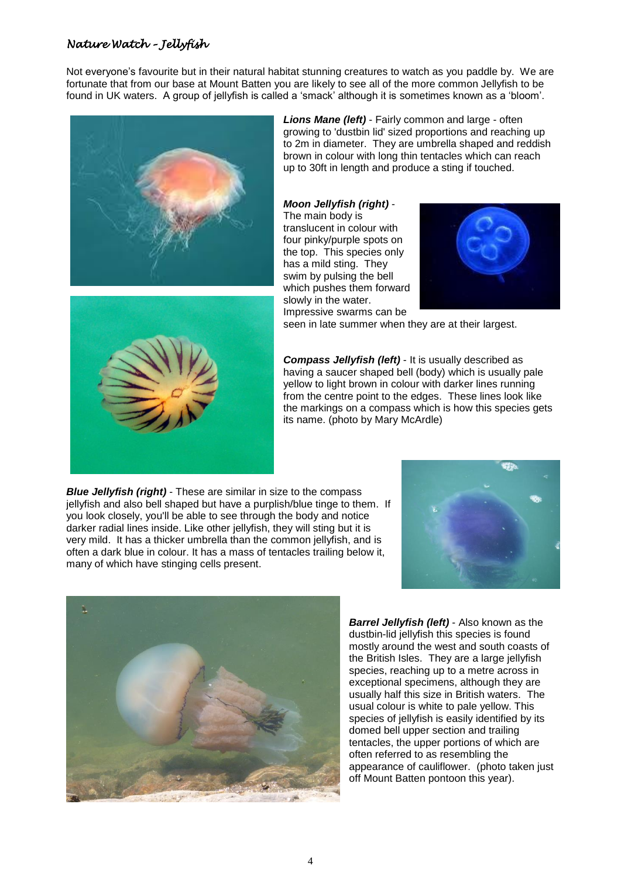#### *Nature Watch – Jellyfish*

Not everyone's favourite but in their natural habitat stunning creatures to watch as you paddle by. We are fortunate that from our base at Mount Batten you are likely to see all of the more common Jellyfish to be found in UK waters. A group of jellyfish is called a 'smack' although it is sometimes known as a 'bloom'.



*Lions Mane (left)* - Fairly common and large - often growing to 'dustbin lid' sized proportions and reaching up to 2m in diameter. They are umbrella shaped and reddish brown in colour with long thin tentacles which can reach up to 30ft in length and produce a sting if touched.

#### *Moon Jellyfish (right)* - The main body is

translucent in colour with four pinky/purple spots on the top. This species only has a mild sting. They swim by pulsing the bell which pushes them forward slowly in the water. Impressive swarms can be





seen in late summer when they are at their largest.

*Compass Jellyfish (left)* - It is usually described as having a saucer shaped bell (body) which is usually pale yellow to light brown in colour with darker lines running from the centre point to the edges. These lines look like the markings on a compass which is how this species gets its name. (photo by Mary McArdle)

*Blue Jellyfish (right)* - These are similar in size to the compass jellyfish and also bell shaped but have a purplish/blue tinge to them. If you look closely, you'll be able to see through the body and notice darker radial lines inside. Like other jellyfish, they will sting but it is very mild. It has a thicker umbrella than the common jellyfish, and is often a dark blue in colour. It has a mass of tentacles trailing below it, many of which have stinging cells present.





*Barrel Jellyfish (left)* - Also known as the dustbin-lid jellyfish this species is found mostly around the west and south coasts of the British Isles. They are a large jellyfish species, reaching up to a metre across in exceptional specimens, although they are usually half this size in British waters. The usual colour is white to pale yellow. This species of jellyfish is easily identified by its domed bell upper section and trailing tentacles, the upper portions of which are often referred to as resembling the appearance of cauliflower. (photo taken just off Mount Batten pontoon this year).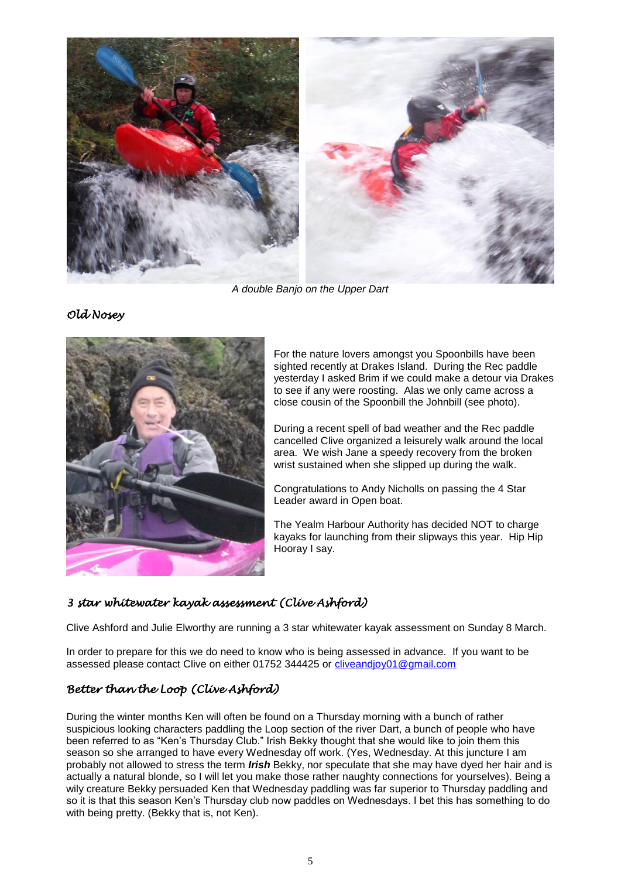

*A double Banjo on the Upper Dart*

*Old Nosey* 



For the nature lovers amongst you Spoonbills have been sighted recently at Drakes Island. During the Rec paddle yesterday I asked Brim if we could make a detour via Drakes to see if any were roosting. Alas we only came across a close cousin of the Spoonbill the Johnbill (see photo).

During a recent spell of bad weather and the Rec paddle cancelled Clive organized a leisurely walk around the local area. We wish Jane a speedy recovery from the broken wrist sustained when she slipped up during the walk.

Congratulations to Andy Nicholls on passing the 4 Star Leader award in Open boat.

The Yealm Harbour Authority has decided NOT to charge kayaks for launching from their slipways this year. Hip Hip Hooray I say.

# *3 star whitewater kayak assessment (Clive Ashford)*

Clive Ashford and Julie Elworthy are running a 3 star whitewater kayak assessment on Sunday 8 March.

In order to prepare for this we do need to know who is being assessed in advance. If you want to be assessed please contact Clive on either 01752 344425 or [cliveandjoy01@gmail.com](mailto:cliveandjoy01@gmail.com)

### *Better than the Loop (Clive Ashford)*

During the winter months Ken will often be found on a Thursday morning with a bunch of rather suspicious looking characters paddling the Loop section of the river Dart, a bunch of people who have been referred to as "Ken's Thursday Club." Irish Bekky thought that she would like to join them this season so she arranged to have every Wednesday off work. (Yes, Wednesday. At this juncture I am probably not allowed to stress the term *Irish* Bekky, nor speculate that she may have dyed her hair and is actually a natural blonde, so I will let you make those rather naughty connections for yourselves). Being a wily creature Bekky persuaded Ken that Wednesday paddling was far superior to Thursday paddling and so it is that this season Ken's Thursday club now paddles on Wednesdays. I bet this has something to do with being pretty. (Bekky that is, not Ken).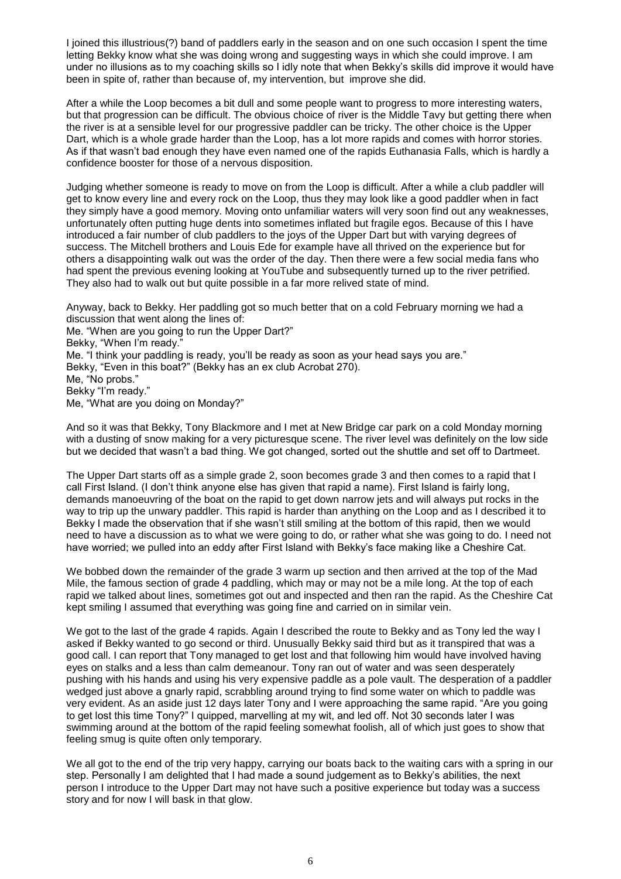I joined this illustrious(?) band of paddlers early in the season and on one such occasion I spent the time letting Bekky know what she was doing wrong and suggesting ways in which she could improve. I am under no illusions as to my coaching skills so I idly note that when Bekky's skills did improve it would have been in spite of, rather than because of, my intervention, but improve she did.

After a while the Loop becomes a bit dull and some people want to progress to more interesting waters, but that progression can be difficult. The obvious choice of river is the Middle Tavy but getting there when the river is at a sensible level for our progressive paddler can be tricky. The other choice is the Upper Dart, which is a whole grade harder than the Loop, has a lot more rapids and comes with horror stories. As if that wasn't bad enough they have even named one of the rapids Euthanasia Falls, which is hardly a confidence booster for those of a nervous disposition.

Judging whether someone is ready to move on from the Loop is difficult. After a while a club paddler will get to know every line and every rock on the Loop, thus they may look like a good paddler when in fact they simply have a good memory. Moving onto unfamiliar waters will very soon find out any weaknesses, unfortunately often putting huge dents into sometimes inflated but fragile egos. Because of this I have introduced a fair number of club paddlers to the joys of the Upper Dart but with varying degrees of success. The Mitchell brothers and Louis Ede for example have all thrived on the experience but for others a disappointing walk out was the order of the day. Then there were a few social media fans who had spent the previous evening looking at YouTube and subsequently turned up to the river petrified. They also had to walk out but quite possible in a far more relived state of mind.

Anyway, back to Bekky. Her paddling got so much better that on a cold February morning we had a discussion that went along the lines of: Me. "When are you going to run the Upper Dart?" Bekky, "When I'm ready." Me. "I think your paddling is ready, you'll be ready as soon as your head says you are." Bekky, "Even in this boat?" (Bekky has an ex club Acrobat 270). Me, "No probs." Bekky "I'm ready." Me, "What are you doing on Monday?"

And so it was that Bekky, Tony Blackmore and I met at New Bridge car park on a cold Monday morning with a dusting of snow making for a very picturesque scene. The river level was definitely on the low side but we decided that wasn't a bad thing. We got changed, sorted out the shuttle and set off to Dartmeet.

The Upper Dart starts off as a simple grade 2, soon becomes grade 3 and then comes to a rapid that I call First Island. (I don't think anyone else has given that rapid a name). First Island is fairly long, demands manoeuvring of the boat on the rapid to get down narrow jets and will always put rocks in the way to trip up the unwary paddler. This rapid is harder than anything on the Loop and as I described it to Bekky I made the observation that if she wasn't still smiling at the bottom of this rapid, then we would need to have a discussion as to what we were going to do, or rather what she was going to do. I need not have worried; we pulled into an eddy after First Island with Bekky's face making like a Cheshire Cat.

We bobbed down the remainder of the grade 3 warm up section and then arrived at the top of the Mad Mile, the famous section of grade 4 paddling, which may or may not be a mile long. At the top of each rapid we talked about lines, sometimes got out and inspected and then ran the rapid. As the Cheshire Cat kept smiling I assumed that everything was going fine and carried on in similar vein.

We got to the last of the grade 4 rapids. Again I described the route to Bekky and as Tony led the way I asked if Bekky wanted to go second or third. Unusually Bekky said third but as it transpired that was a good call. I can report that Tony managed to get lost and that following him would have involved having eyes on stalks and a less than calm demeanour. Tony ran out of water and was seen desperately pushing with his hands and using his very expensive paddle as a pole vault. The desperation of a paddler wedged just above a gnarly rapid, scrabbling around trying to find some water on which to paddle was very evident. As an aside just 12 days later Tony and I were approaching the same rapid. "Are you going to get lost this time Tony?" I quipped, marvelling at my wit, and led off. Not 30 seconds later I was swimming around at the bottom of the rapid feeling somewhat foolish, all of which just goes to show that feeling smug is quite often only temporary.

We all got to the end of the trip very happy, carrying our boats back to the waiting cars with a spring in our step. Personally I am delighted that I had made a sound judgement as to Bekky's abilities, the next person I introduce to the Upper Dart may not have such a positive experience but today was a success story and for now I will bask in that glow.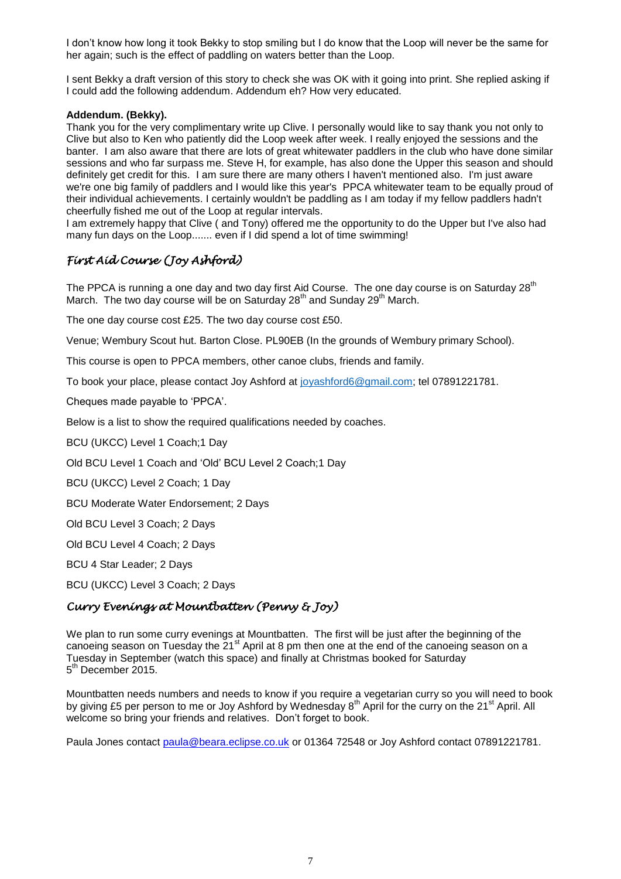I don't know how long it took Bekky to stop smiling but I do know that the Loop will never be the same for her again; such is the effect of paddling on waters better than the Loop.

I sent Bekky a draft version of this story to check she was OK with it going into print. She replied asking if I could add the following addendum. Addendum eh? How very educated.

#### **Addendum. (Bekky).**

Thank you for the very complimentary write up Clive. I personally would like to say thank you not only to Clive but also to Ken who patiently did the Loop week after week. I really enjoyed the sessions and the banter. I am also aware that there are lots of great whitewater paddlers in the club who have done similar sessions and who far surpass me. Steve H, for example, has also done the Upper this season and should definitely get credit for this. I am sure there are many others I haven't mentioned also. I'm just aware we're one big family of paddlers and I would like this year's PPCA whitewater team to be equally proud of their individual achievements. I certainly wouldn't be paddling as I am today if my fellow paddlers hadn't cheerfully fished me out of the Loop at regular intervals.

I am extremely happy that Clive ( and Tony) offered me the opportunity to do the Upper but I've also had many fun days on the Loop....... even if I did spend a lot of time swimming!

# *First Aid Course (Joy Ashford)*

The PPCA is running a one day and two day first Aid Course. The one day course is on Saturday 28<sup>th</sup> March. The two day course will be on Saturday 28<sup>th</sup> and Sunday 29<sup>th</sup> March.

The one day course cost £25. The two day course cost £50.

Venue; Wembury Scout hut. Barton Close. PL90EB (In the grounds of Wembury primary School).

This course is open to PPCA members, other canoe clubs, friends and family.

To book your place, please contact Joy Ashford at [joyashford6@gmail.com;](mailto:joyashford6@gmail.com) tel 07891221781.

Cheques made payable to 'PPCA'.

Below is a list to show the required qualifications needed by coaches.

BCU (UKCC) Level 1 Coach;1 Day

Old BCU Level 1 Coach and 'Old' BCU Level 2 Coach;1 Day

BCU (UKCC) Level 2 Coach; 1 Day

BCU Moderate Water Endorsement; 2 Days

Old BCU Level 3 Coach; 2 Days

Old BCU Level 4 Coach; 2 Days

BCU 4 Star Leader; 2 Days

BCU (UKCC) Level 3 Coach; 2 Days

#### *Curry Evenings at Mountbatten (Penny & Joy)*

We plan to run some curry evenings at Mountbatten. The first will be just after the beginning of the canoeing season on Tuesday the 21<sup>st</sup> April at 8 pm then one at the end of the canoeing season on a Tuesday in September (watch this space) and finally at Christmas booked for Saturday 5<sup>th</sup> December 2015.

Mountbatten needs numbers and needs to know if you require a vegetarian curry so you will need to book by giving £5 per person to me or Joy Ashford by Wednesday 8<sup>th</sup> April for the curry on the 21<sup>st</sup> April. All welcome so bring your friends and relatives. Don't forget to book.

Paula Jones contact [paula@beara.eclipse.co.uk](mailto:paula@beara.eclipse.co.uk) or 01364 72548 or Joy Ashford contact 07891221781.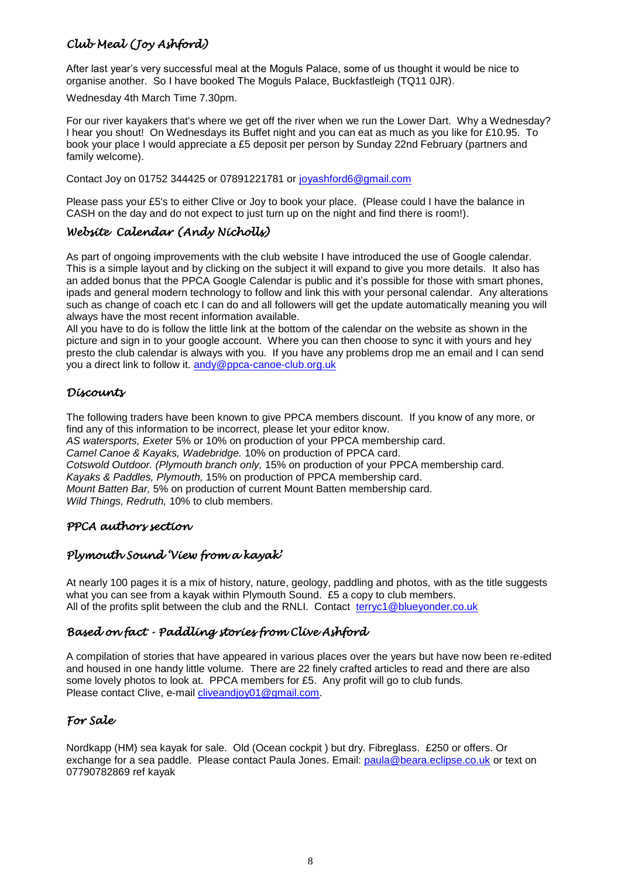# *Club Meal (Joy Ashford)*

After last year's very successful meal at the Moguls Palace, some of us thought it would be nice to organise another. So I have booked The Moguls Palace, Buckfastleigh (TQ11 0JR).

Wednesday 4th March Time 7.30pm.

For our river kayakers that's where we get off the river when we run the Lower Dart. Why a Wednesday? I hear you shout! On Wednesdays its Buffet night and you can eat as much as you like for £10.95. To book your place I would appreciate a £5 deposit per person by Sunday 22nd February (partners and family welcome).

Contact Joy on 01752 344425 or 07891221781 or [joyashford6@gmail.com](mailto:joyashford6@gmail.com)

Please pass your £5's to either Clive or Joy to book your place. (Please could I have the balance in CASH on the day and do not expect to just turn up on the night and find there is room!).

### *Website Calendar (Andy Nicholls)*

As part of ongoing improvements with the club website I have introduced the use of Google calendar. This is a simple layout and by clicking on the subject it will expand to give you more details. It also has an added bonus that the PPCA Google Calendar is public and it's possible for those with smart phones, ipads and general modern technology to follow and link this with your personal calendar. Any alterations such as change of coach etc I can do and all followers will get the update automatically meaning you will always have the most recent information available.

All you have to do is follow the little link at the bottom of the calendar on the website as shown in the picture and sign in to your google account. Where you can then choose to sync it with yours and hey presto the club calendar is always with you. If you have any problems drop me an email and I can send you a direct link to follow it. [andy@ppca-canoe-club.org.uk](mailto:andy@ppca-canoe-club.org.uk)

### *Discounts*

The following traders have been known to give PPCA members discount. If you know of any more, or find any of this information to be incorrect, please let your editor know.

*AS watersports, Exeter* 5% or 10% on production of your PPCA membership card.

*Camel Canoe & Kayaks, Wadebridge.* 10% on production of PPCA card.

*Cotswold Outdoor. (Plymouth branch only,* 15% on production of your PPCA membership card.

*Kayaks & Paddles, Plymouth,* 15% on production of PPCA membership card.

*Mount Batten Bar,* 5% on production of current Mount Batten membership card.

*Wild Things, Redruth,* 10% to club members.

#### *PPCA authors section*

### *Plymouth Sound 'View from a kayak'*

At nearly 100 pages it is a mix of history, nature, geology, paddling and photos, with as the title suggests what you can see from a kayak within Plymouth Sound. £5 a copy to club members. All of the profits split between the club and the RNLI. Contact [terryc1@blueyonder.co.uk](mailto:terryc1@blueyonder.co.uk)

### *Based on fact - Paddling stories from Clive Ashford*

A compilation of stories that have appeared in various places over the years but have now been re-edited and housed in one handy little volume. There are 22 finely crafted articles to read and there are also some lovely photos to look at. PPCA members for £5. Any profit will go to club funds. Please contact Clive, e-mail [cliveandjoy01@gmail.com.](mailto:cliveandjoy01@gmail.com)

### *For Sale*

Nordkapp (HM) sea kayak for sale. Old (Ocean cockpit ) but dry. Fibreglass. £250 or offers. Or exchange for a sea paddle. Please contact Paula Jones. Email: [paula@beara.eclipse.co.uk](mailto:paula@beara.eclipse.co.uk) or text on 07790782869 ref kayak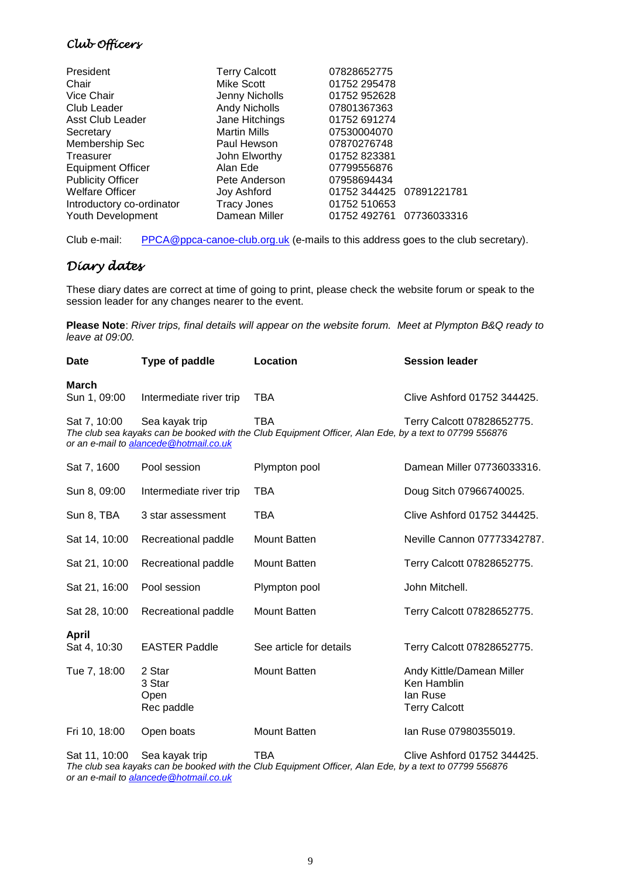### *Club Officers*

| President                 | <b>Terry Calcott</b> | 07828652775              |  |
|---------------------------|----------------------|--------------------------|--|
| Chair                     | Mike Scott           | 01752 295478             |  |
| Vice Chair                | Jenny Nicholls       | 01752 952628             |  |
| Club Leader               | <b>Andy Nicholls</b> | 07801367363              |  |
| <b>Asst Club Leader</b>   | Jane Hitchings       | 01752 691274             |  |
| Secretary                 | <b>Martin Mills</b>  | 07530004070              |  |
| Membership Sec            | Paul Hewson          | 07870276748              |  |
| Treasurer                 | John Elworthy        | 01752 823381             |  |
| <b>Equipment Officer</b>  | Alan Ede             | 07799556876              |  |
| <b>Publicity Officer</b>  | Pete Anderson        | 07958694434              |  |
| <b>Welfare Officer</b>    | Joy Ashford          | 01752 344425 07891221781 |  |
| Introductory co-ordinator | <b>Tracy Jones</b>   | 01752 510653             |  |
| Youth Development         | Damean Miller        | 01752 492761 07736033316 |  |
|                           |                      |                          |  |

Club e-mail: [PPCA@ppca-canoe-club.org.uk](mailto:PPCA@ppca-canoe-club.org.uk) (e-mails to this address goes to the club secretary).

# *Diary dates*

These diary dates are correct at time of going to print, please check the website forum or speak to the session leader for any changes nearer to the event.

**Please Note**: *River trips, final details will appear on the website forum. Meet at Plympton B&Q ready to leave at 09:00.*

| Date                         | Type of paddle                                           | Location                                                                                                      | <b>Session leader</b>       |
|------------------------------|----------------------------------------------------------|---------------------------------------------------------------------------------------------------------------|-----------------------------|
| <b>March</b><br>Sun 1, 09:00 | Intermediate river trip                                  | TBA                                                                                                           | Clive Ashford 01752 344425. |
| Sat 7, 10:00                 | Sea kayak trip<br>or an e-mail to alancede@hotmail.co.uk | TBA<br>The club sea kayaks can be booked with the Club Equipment Officer, Alan Ede, by a text to 07799 556876 | Terry Calcott 07828652775.  |
| Sat 7, 1600                  | Pool session                                             | Plympton pool                                                                                                 | Damean Miller 07736033316.  |
| Sun 8, 09:00                 | Intermediate river trip                                  | TBA                                                                                                           | Doug Sitch 07966740025.     |
| Sun 8, TBA                   | 3 star assessment                                        | TBA                                                                                                           | Clive Ashford 01752 344425. |
| Sat 14, 10:00                | Recreational paddle                                      | Mount Batten                                                                                                  | Neville Cannon 07773342787. |
| Sat 21, 10:00                | Recreational paddle                                      | Mount Batten                                                                                                  | Terry Calcott 07828652775.  |
| Sat 21, 16:00                | Pool session                                             | Plympton pool                                                                                                 | John Mitchell.              |
| Sat 28, 10:00                | Recreational paddle                                      | Mount Batten                                                                                                  | Terry Calcott 07828652775.  |
| <b>April</b><br>Sat 4, 10:30 | <b>EASTER Paddle</b>                                     | See article for details                                                                                       | Terrv Calcott 07828652775.  |

EASTER Paddle See article for details Terry Calcott 07828652775.

Tue 7, 18:00 2 Star Mount Batten Mount Batten Andy Kittle/Damean Miller 3 Star Ken Hamblin Open Ian Ruse<br>
Rec paddle Ian Ruse<br>
Terry Cal **Terry Calcott** 

Fri 10, 18:00 Open boats Mount Batten Ian Ruse 07980355019. Sat 11, 10:00 Sea kayak trip TBA Clive Ashford 01752 344425. *The club sea kayaks can be booked with the Club Equipment Officer, Alan Ede, by a text to 07799 556876*

*or an e-mail t[o alancede@hotmail.co.uk](mailto:alancede@hotmail.co.uk)*